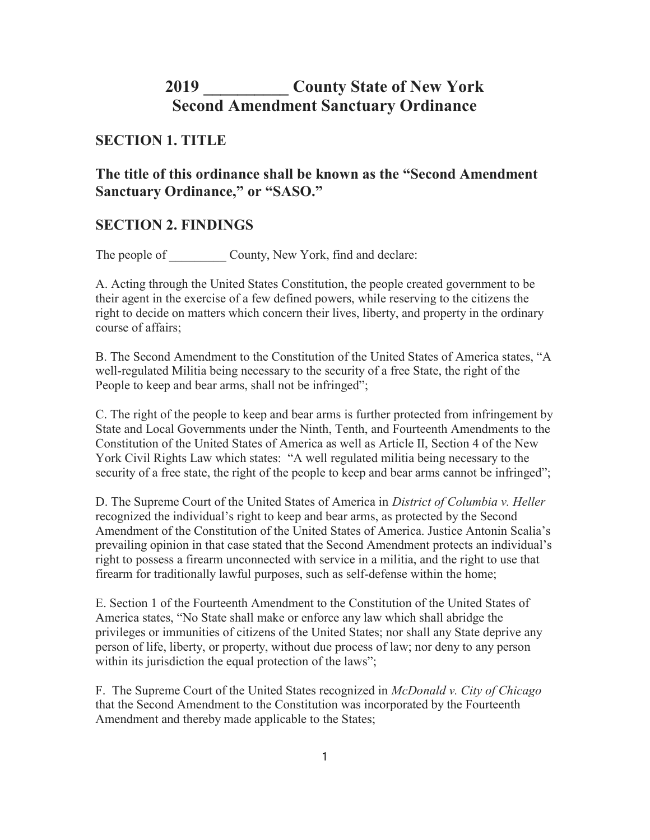# 2019 **County State of New York** Second Amendment Sanctuary Ordinance

# SECTION 1. TITLE

The title of this ordinance shall be known as the "Second Amendment Sanctuary Ordinance," or "SASO."

# SECTION 2. FINDINGS

The people of County, New York, find and declare:

A. Acting through the United States Constitution, the people created government to be their agent in the exercise of a few defined powers, while reserving to the citizens the right to decide on matters which concern their lives, liberty, and property in the ordinary course of affairs;

B. The Second Amendment to the Constitution of the United States of America states, "A well-regulated Militia being necessary to the security of a free State, the right of the People to keep and bear arms, shall not be infringed";

C. The right of the people to keep and bear arms is further protected from infringement by State and Local Governments under the Ninth, Tenth, and Fourteenth Amendments to the Constitution of the United States of America as well as Article II, Section 4 of the New York Civil Rights Law which states: "A well regulated militia being necessary to the security of a free state, the right of the people to keep and bear arms cannot be infringed";

D. The Supreme Court of the United States of America in District of Columbia v. Heller recognized the individual's right to keep and bear arms, as protected by the Second Amendment of the Constitution of the United States of America. Justice Antonin Scalia's prevailing opinion in that case stated that the Second Amendment protects an individual's right to possess a firearm unconnected with service in a militia, and the right to use that firearm for traditionally lawful purposes, such as self-defense within the home;

E. Section 1 of the Fourteenth Amendment to the Constitution of the United States of America states, "No State shall make or enforce any law which shall abridge the privileges or immunities of citizens of the United States; nor shall any State deprive any person of life, liberty, or property, without due process of law; nor deny to any person within its jurisdiction the equal protection of the laws";

F. The Supreme Court of the United States recognized in *McDonald v. City of Chicago* that the Second Amendment to the Constitution was incorporated by the Fourteenth Amendment and thereby made applicable to the States;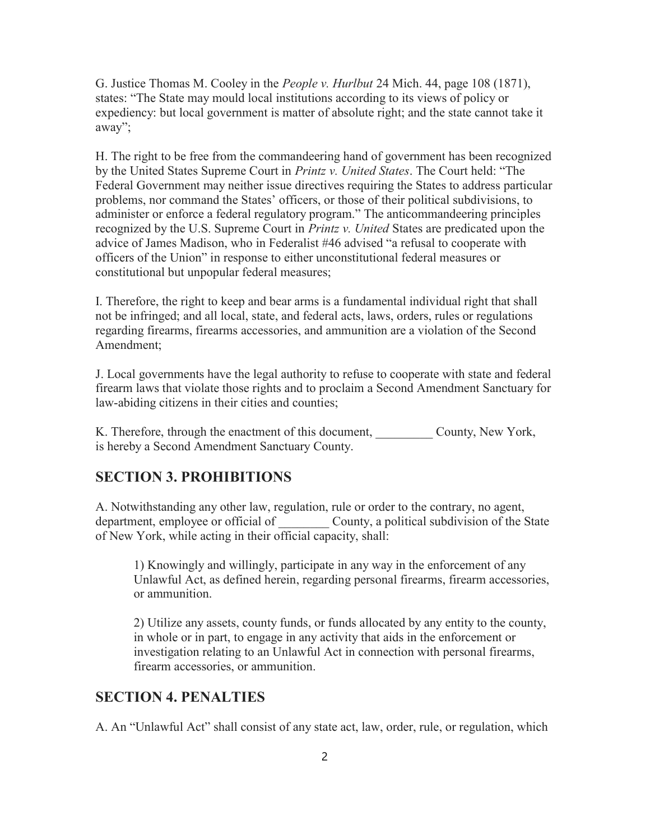G. Justice Thomas M. Cooley in the *People v. Hurlbut* 24 Mich. 44, page 108 (1871), states: "The State may mould local institutions according to its views of policy or expediency: but local government is matter of absolute right; and the state cannot take it away";

H. The right to be free from the commandeering hand of government has been recognized by the United States Supreme Court in *Printz v. United States*. The Court held: "The Federal Government may neither issue directives requiring the States to address particular problems, nor command the States' officers, or those of their political subdivisions, to administer or enforce a federal regulatory program." The anticommandeering principles recognized by the U.S. Supreme Court in *Printz v. United* States are predicated upon the advice of James Madison, who in Federalist #46 advised "a refusal to cooperate with officers of the Union" in response to either unconstitutional federal measures or constitutional but unpopular federal measures;

I. Therefore, the right to keep and bear arms is a fundamental individual right that shall not be infringed; and all local, state, and federal acts, laws, orders, rules or regulations regarding firearms, firearms accessories, and ammunition are a violation of the Second Amendment;

J. Local governments have the legal authority to refuse to cooperate with state and federal firearm laws that violate those rights and to proclaim a Second Amendment Sanctuary for law-abiding citizens in their cities and counties;

K. Therefore, through the enactment of this document, County, New York, is hereby a Second Amendment Sanctuary County.

#### SECTION 3. PROHIBITIONS

A. Notwithstanding any other law, regulation, rule or order to the contrary, no agent, department, employee or official of **County**, a political subdivision of the State of New York, while acting in their official capacity, shall:

1) Knowingly and willingly, participate in any way in the enforcement of any Unlawful Act, as defined herein, regarding personal firearms, firearm accessories, or ammunition.

2) Utilize any assets, county funds, or funds allocated by any entity to the county, in whole or in part, to engage in any activity that aids in the enforcement or investigation relating to an Unlawful Act in connection with personal firearms, firearm accessories, or ammunition.

### SECTION 4. PENALTIES

A. An "Unlawful Act" shall consist of any state act, law, order, rule, or regulation, which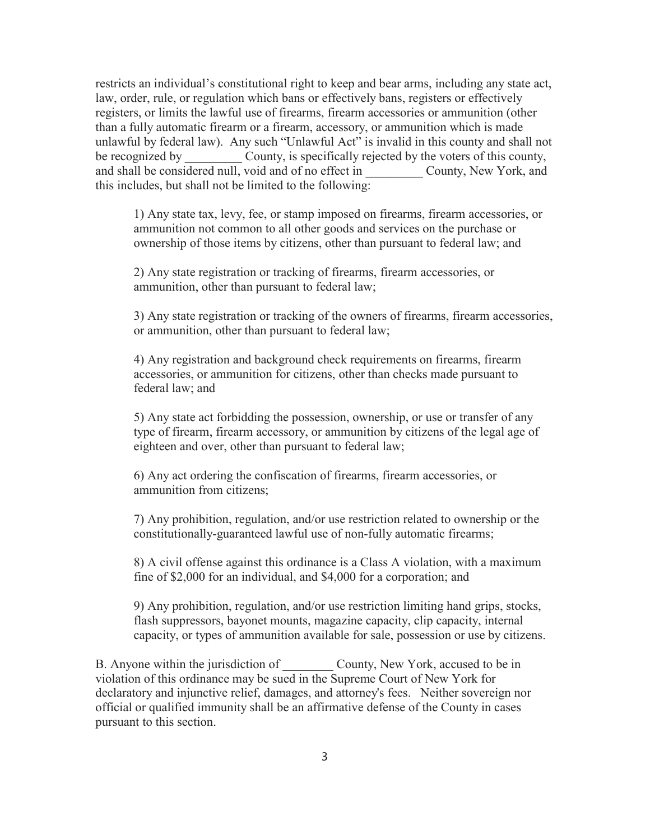restricts an individual's constitutional right to keep and bear arms, including any state act, law, order, rule, or regulation which bans or effectively bans, registers or effectively registers, or limits the lawful use of firearms, firearm accessories or ammunition (other than a fully automatic firearm or a firearm, accessory, or ammunition which is made unlawful by federal law). Any such "Unlawful Act" is invalid in this county and shall not be recognized by county, is specifically rejected by the voters of this county, and shall be considered null, void and of no effect in County, New York, and this includes, but shall not be limited to the following:

1) Any state tax, levy, fee, or stamp imposed on firearms, firearm accessories, or ammunition not common to all other goods and services on the purchase or ownership of those items by citizens, other than pursuant to federal law; and

2) Any state registration or tracking of firearms, firearm accessories, or ammunition, other than pursuant to federal law;

3) Any state registration or tracking of the owners of firearms, firearm accessories, or ammunition, other than pursuant to federal law;

4) Any registration and background check requirements on firearms, firearm accessories, or ammunition for citizens, other than checks made pursuant to federal law; and

5) Any state act forbidding the possession, ownership, or use or transfer of any type of firearm, firearm accessory, or ammunition by citizens of the legal age of eighteen and over, other than pursuant to federal law;

6) Any act ordering the confiscation of firearms, firearm accessories, or ammunition from citizens;

7) Any prohibition, regulation, and/or use restriction related to ownership or the constitutionally-guaranteed lawful use of non-fully automatic firearms;

8) A civil offense against this ordinance is a Class A violation, with a maximum fine of \$2,000 for an individual, and \$4,000 for a corporation; and

9) Any prohibition, regulation, and/or use restriction limiting hand grips, stocks, flash suppressors, bayonet mounts, magazine capacity, clip capacity, internal capacity, or types of ammunition available for sale, possession or use by citizens.

B. Anyone within the jurisdiction of County, New York, accused to be in violation of this ordinance may be sued in the Supreme Court of New York for declaratory and injunctive relief, damages, and attorney's fees. Neither sovereign nor official or qualified immunity shall be an affirmative defense of the County in cases pursuant to this section.